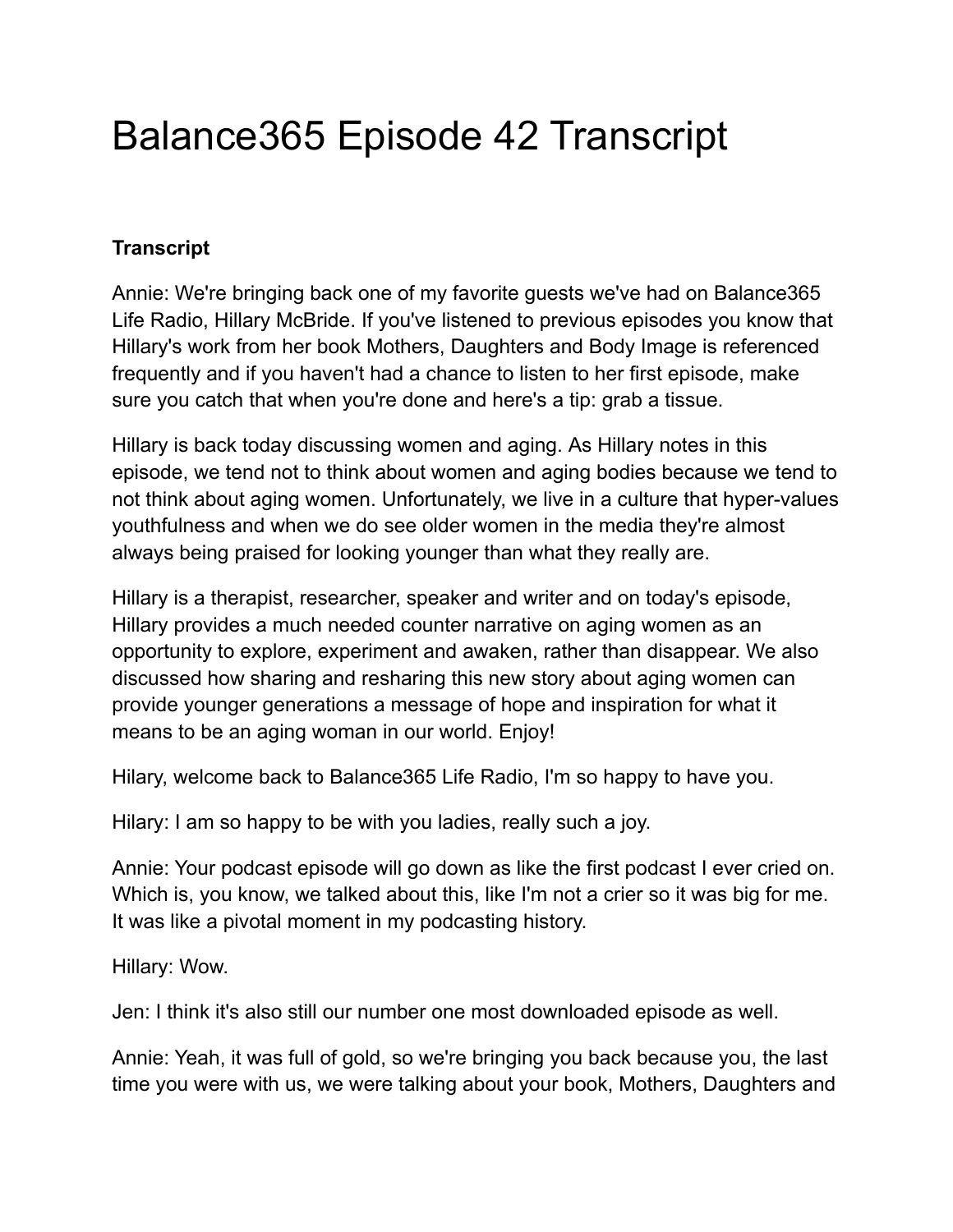# Balance365 Episode 42 Transcript

## **Transcript**

Annie: We're bringing back one of my favorite guests we've had on Balance365 Life Radio, Hillary McBride. If you've listened to previous episodes you know that Hillary's work from her book Mothers, Daughters and Body Image is referenced frequently and if you haven't had a chance to listen to her first episode, make sure you catch that when you're done and here's a tip: grab a tissue.

Hillary is back today discussing women and aging. As Hillary notes in this episode, we tend not to think about women and aging bodies because we tend to not think about aging women. Unfortunately, we live in a culture that hyper-values youthfulness and when we do see older women in the media they're almost always being praised for looking younger than what they really are.

Hillary is a therapist, researcher, speaker and writer and on today's episode, Hillary provides a much needed counter narrative on aging women as an opportunity to explore, experiment and awaken, rather than disappear. We also discussed how sharing and resharing this new story about aging women can provide younger generations a message of hope and inspiration for what it means to be an aging woman in our world. Enjoy!

Hilary, welcome back to Balance365 Life Radio, I'm so happy to have you.

Hilary: I am so happy to be with you ladies, really such a joy.

Annie: Your podcast episode will go down as like the first podcast I ever cried on. Which is, you know, we talked about this, like I'm not a crier so it was big for me. It was like a pivotal moment in my podcasting history.

Hillary: Wow.

Jen: I think it's also still our number one most downloaded episode as well.

Annie: Yeah, it was full of gold, so we're bringing you back because you, the last time you were with us, we were talking about your book, Mothers, Daughters and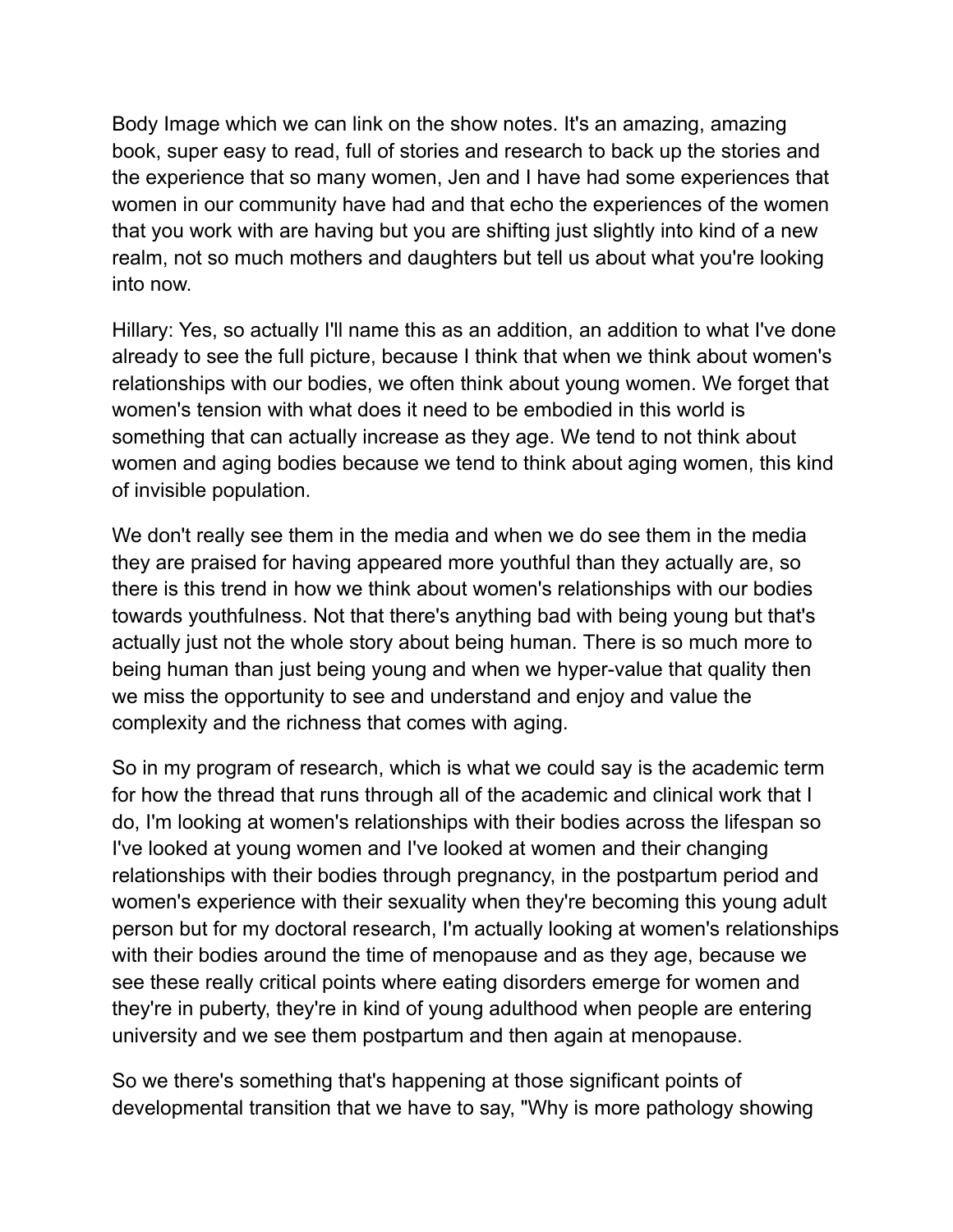Body Image which we can link on the show notes. It's an amazing, amazing book, super easy to read, full of stories and research to back up the stories and the experience that so many women, Jen and I have had some experiences that women in our community have had and that echo the experiences of the women that you work with are having but you are shifting just slightly into kind of a new realm, not so much mothers and daughters but tell us about what you're looking into now.

Hillary: Yes, so actually I'll name this as an addition, an addition to what I've done already to see the full picture, because I think that when we think about women's relationships with our bodies, we often think about young women. We forget that women's tension with what does it need to be embodied in this world is something that can actually increase as they age. We tend to not think about women and aging bodies because we tend to think about aging women, this kind of invisible population.

We don't really see them in the media and when we do see them in the media they are praised for having appeared more youthful than they actually are, so there is this trend in how we think about women's relationships with our bodies towards youthfulness. Not that there's anything bad with being young but that's actually just not the whole story about being human. There is so much more to being human than just being young and when we hyper-value that quality then we miss the opportunity to see and understand and enjoy and value the complexity and the richness that comes with aging.

So in my program of research, which is what we could say is the academic term for how the thread that runs through all of the academic and clinical work that I do, I'm looking at women's relationships with their bodies across the lifespan so I've looked at young women and I've looked at women and their changing relationships with their bodies through pregnancy, in the postpartum period and women's experience with their sexuality when they're becoming this young adult person but for my doctoral research, I'm actually looking at women's relationships with their bodies around the time of menopause and as they age, because we see these really critical points where eating disorders emerge for women and they're in puberty, they're in kind of young adulthood when people are entering university and we see them postpartum and then again at menopause.

So we there's something that's happening at those significant points of developmental transition that we have to say, "Why is more pathology showing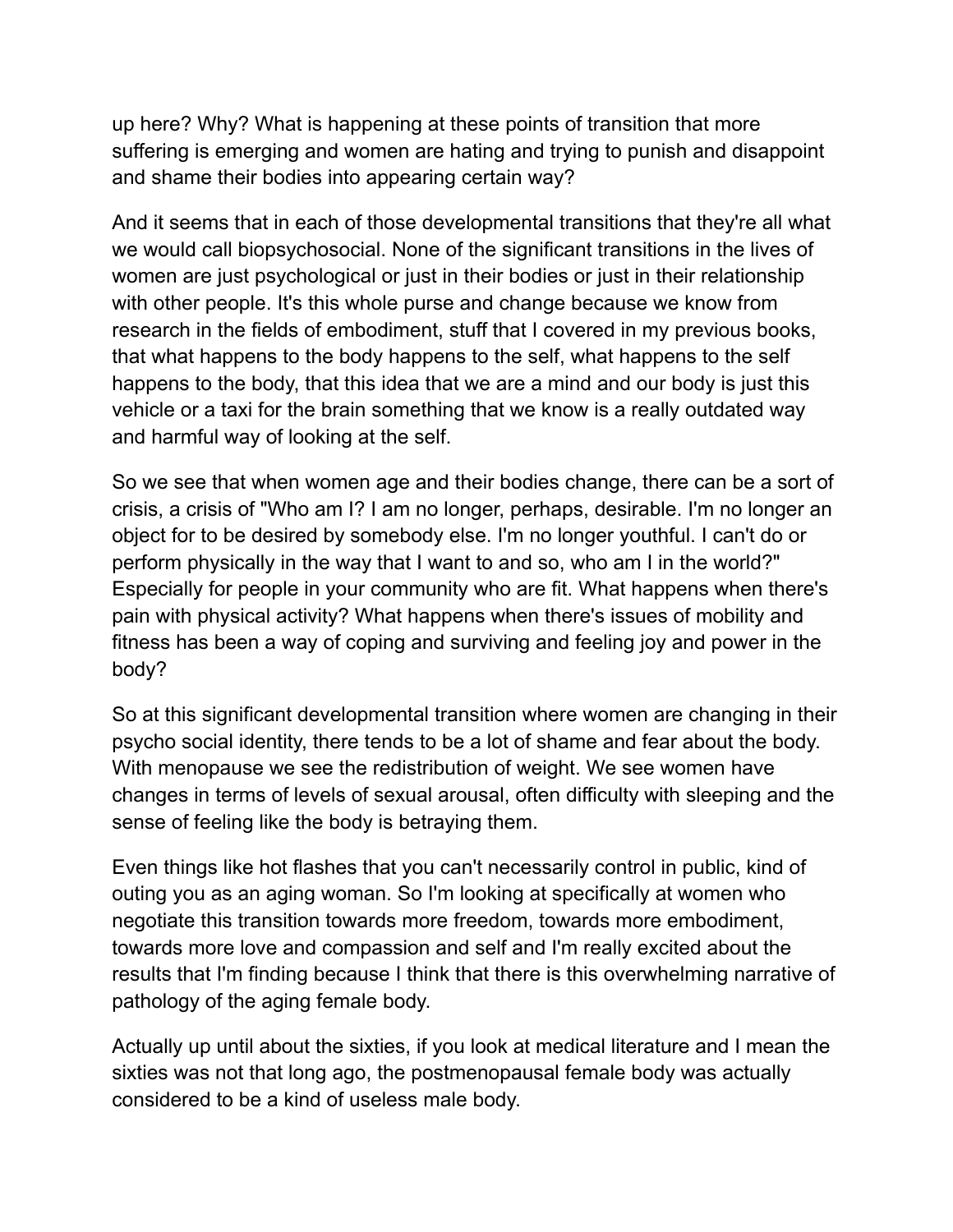up here? Why? What is happening at these points of transition that more suffering is emerging and women are hating and trying to punish and disappoint and shame their bodies into appearing certain way?

And it seems that in each of those developmental transitions that they're all what we would call biopsychosocial. None of the significant transitions in the lives of women are just psychological or just in their bodies or just in their relationship with other people. It's this whole purse and change because we know from research in the fields of embodiment, stuff that I covered in my previous books, that what happens to the body happens to the self, what happens to the self happens to the body, that this idea that we are a mind and our body is just this vehicle or a taxi for the brain something that we know is a really outdated way and harmful way of looking at the self.

So we see that when women age and their bodies change, there can be a sort of crisis, a crisis of "Who am I? I am no longer, perhaps, desirable. I'm no longer an object for to be desired by somebody else. I'm no longer youthful. I can't do or perform physically in the way that I want to and so, who am I in the world?" Especially for people in your community who are fit. What happens when there's pain with physical activity? What happens when there's issues of mobility and fitness has been a way of coping and surviving and feeling joy and power in the body?

So at this significant developmental transition where women are changing in their psycho social identity, there tends to be a lot of shame and fear about the body. With menopause we see the redistribution of weight. We see women have changes in terms of levels of sexual arousal, often difficulty with sleeping and the sense of feeling like the body is betraying them.

Even things like hot flashes that you can't necessarily control in public, kind of outing you as an aging woman. So I'm looking at specifically at women who negotiate this transition towards more freedom, towards more embodiment, towards more love and compassion and self and I'm really excited about the results that I'm finding because I think that there is this overwhelming narrative of pathology of the aging female body.

Actually up until about the sixties, if you look at medical literature and I mean the sixties was not that long ago, the postmenopausal female body was actually considered to be a kind of useless male body.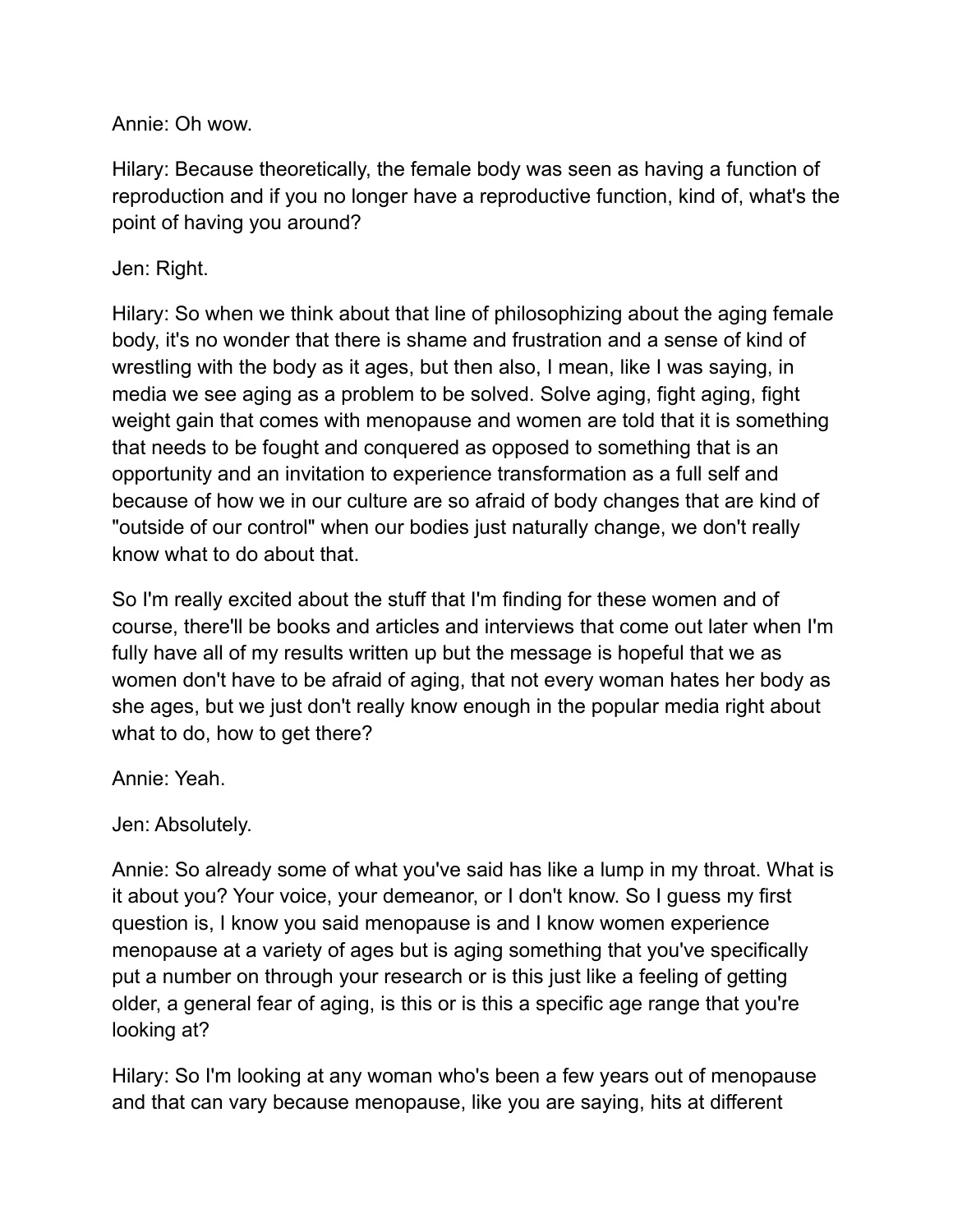Annie: Oh wow.

Hilary: Because theoretically, the female body was seen as having a function of reproduction and if you no longer have a reproductive function, kind of, what's the point of having you around?

## Jen: Right.

Hilary: So when we think about that line of philosophizing about the aging female body, it's no wonder that there is shame and frustration and a sense of kind of wrestling with the body as it ages, but then also, I mean, like I was saying, in media we see aging as a problem to be solved. Solve aging, fight aging, fight weight gain that comes with menopause and women are told that it is something that needs to be fought and conquered as opposed to something that is an opportunity and an invitation to experience transformation as a full self and because of how we in our culture are so afraid of body changes that are kind of "outside of our control" when our bodies just naturally change, we don't really know what to do about that.

So I'm really excited about the stuff that I'm finding for these women and of course, there'll be books and articles and interviews that come out later when I'm fully have all of my results written up but the message is hopeful that we as women don't have to be afraid of aging, that not every woman hates her body as she ages, but we just don't really know enough in the popular media right about what to do, how to get there?

Annie: Yeah.

## Jen: Absolutely.

Annie: So already some of what you've said has like a lump in my throat. What is it about you? Your voice, your demeanor, or I don't know. So I guess my first question is, I know you said menopause is and I know women experience menopause at a variety of ages but is aging something that you've specifically put a number on through your research or is this just like a feeling of getting older, a general fear of aging, is this or is this a specific age range that you're looking at?

Hilary: So I'm looking at any woman who's been a few years out of menopause and that can vary because menopause, like you are saying, hits at different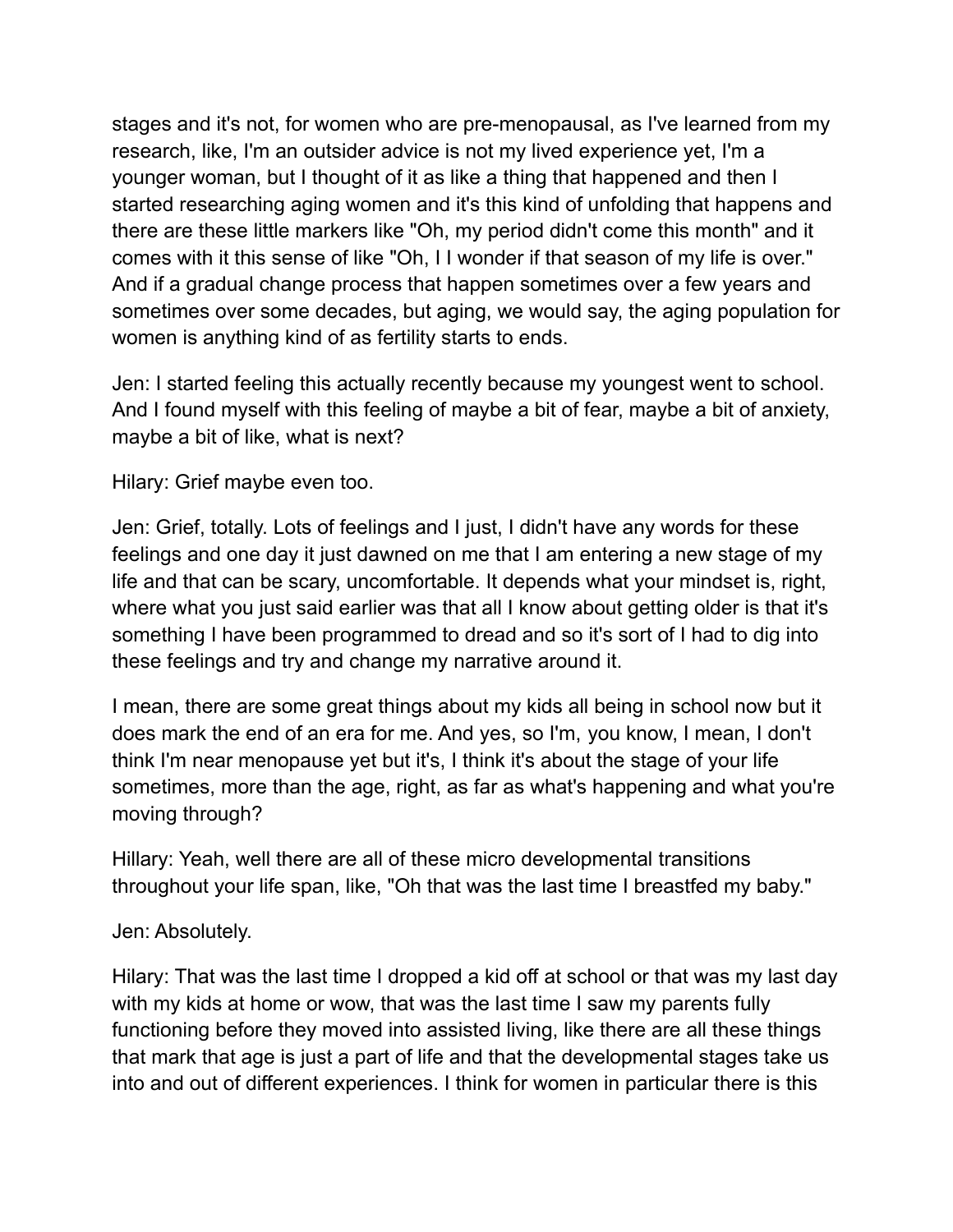stages and it's not, for women who are pre-menopausal, as I've learned from my research, like, I'm an outsider advice is not my lived experience yet, I'm a younger woman, but I thought of it as like a thing that happened and then I started researching aging women and it's this kind of unfolding that happens and there are these little markers like "Oh, my period didn't come this month" and it comes with it this sense of like "Oh, I I wonder if that season of my life is over." And if a gradual change process that happen sometimes over a few years and sometimes over some decades, but aging, we would say, the aging population for women is anything kind of as fertility starts to ends.

Jen: I started feeling this actually recently because my youngest went to school. And I found myself with this feeling of maybe a bit of fear, maybe a bit of anxiety, maybe a bit of like, what is next?

Hilary: Grief maybe even too.

Jen: Grief, totally. Lots of feelings and I just, I didn't have any words for these feelings and one day it just dawned on me that I am entering a new stage of my life and that can be scary, uncomfortable. It depends what your mindset is, right, where what you just said earlier was that all I know about getting older is that it's something I have been programmed to dread and so it's sort of I had to dig into these feelings and try and change my narrative around it.

I mean, there are some great things about my kids all being in school now but it does mark the end of an era for me. And yes, so I'm, you know, I mean, I don't think I'm near menopause yet but it's, I think it's about the stage of your life sometimes, more than the age, right, as far as what's happening and what you're moving through?

Hillary: Yeah, well there are all of these micro developmental transitions throughout your life span, like, "Oh that was the last time I breastfed my baby."

#### Jen: Absolutely.

Hilary: That was the last time I dropped a kid off at school or that was my last day with my kids at home or wow, that was the last time I saw my parents fully functioning before they moved into assisted living, like there are all these things that mark that age is just a part of life and that the developmental stages take us into and out of different experiences. I think for women in particular there is this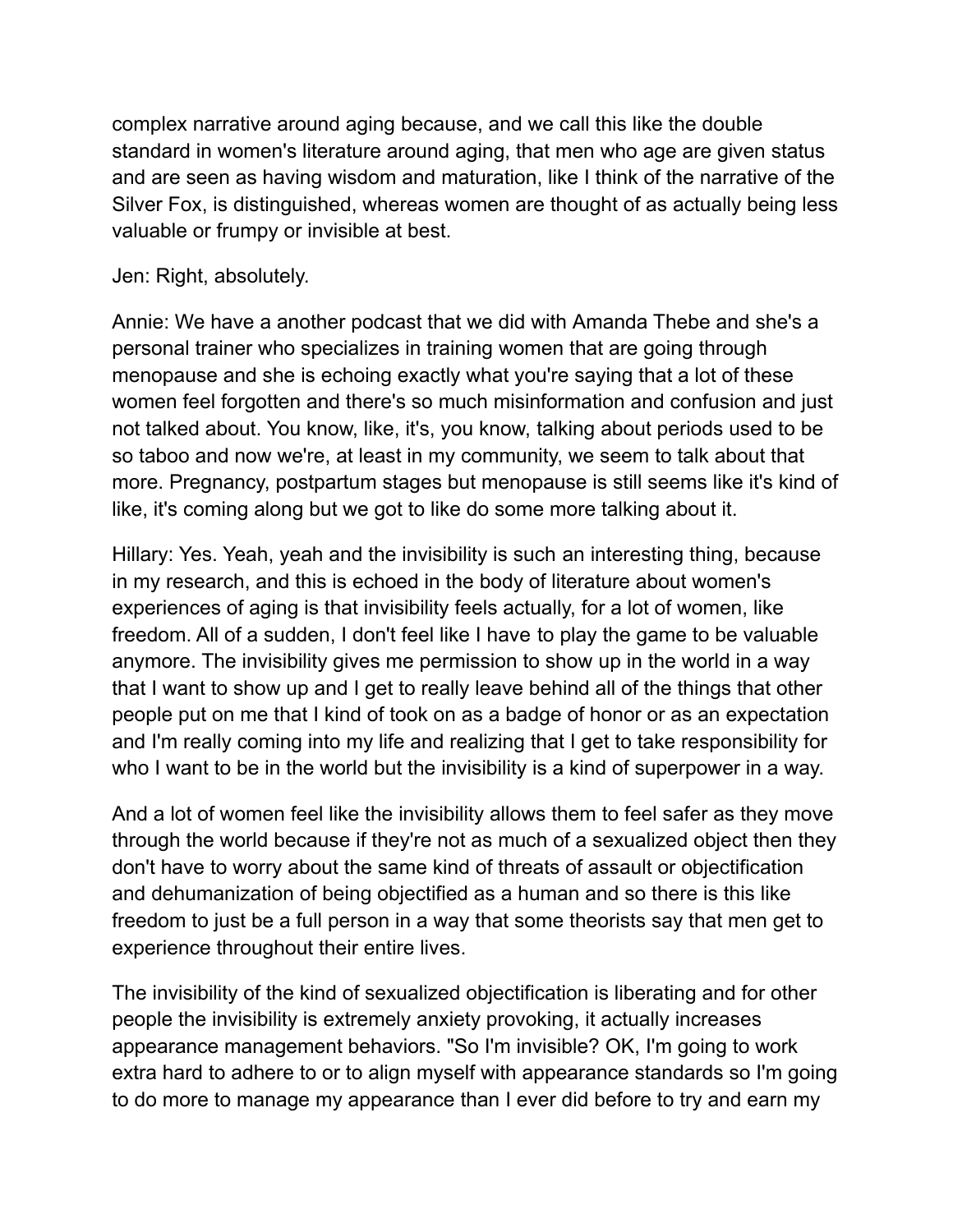complex narrative around aging because, and we call this like the double standard in women's literature around aging, that men who age are given status and are seen as having wisdom and maturation, like I think of the narrative of the Silver Fox, is distinguished, whereas women are thought of as actually being less valuable or frumpy or invisible at best.

### Jen: Right, absolutely.

Annie: We have a another podcast that we did with Amanda Thebe and she's a personal trainer who specializes in training women that are going through menopause and she is echoing exactly what you're saying that a lot of these women feel forgotten and there's so much misinformation and confusion and just not talked about. You know, like, it's, you know, talking about periods used to be so taboo and now we're, at least in my community, we seem to talk about that more. Pregnancy, postpartum stages but menopause is still seems like it's kind of like, it's coming along but we got to like do some more talking about it.

Hillary: Yes. Yeah, yeah and the invisibility is such an interesting thing, because in my research, and this is echoed in the body of literature about women's experiences of aging is that invisibility feels actually, for a lot of women, like freedom. All of a sudden, I don't feel like I have to play the game to be valuable anymore. The invisibility gives me permission to show up in the world in a way that I want to show up and I get to really leave behind all of the things that other people put on me that I kind of took on as a badge of honor or as an expectation and I'm really coming into my life and realizing that I get to take responsibility for who I want to be in the world but the invisibility is a kind of superpower in a way.

And a lot of women feel like the invisibility allows them to feel safer as they move through the world because if they're not as much of a sexualized object then they don't have to worry about the same kind of threats of assault or objectification and dehumanization of being objectified as a human and so there is this like freedom to just be a full person in a way that some theorists say that men get to experience throughout their entire lives.

The invisibility of the kind of sexualized objectification is liberating and for other people the invisibility is extremely anxiety provoking, it actually increases appearance management behaviors. "So I'm invisible? OK, I'm going to work extra hard to adhere to or to align myself with appearance standards so I'm going to do more to manage my appearance than I ever did before to try and earn my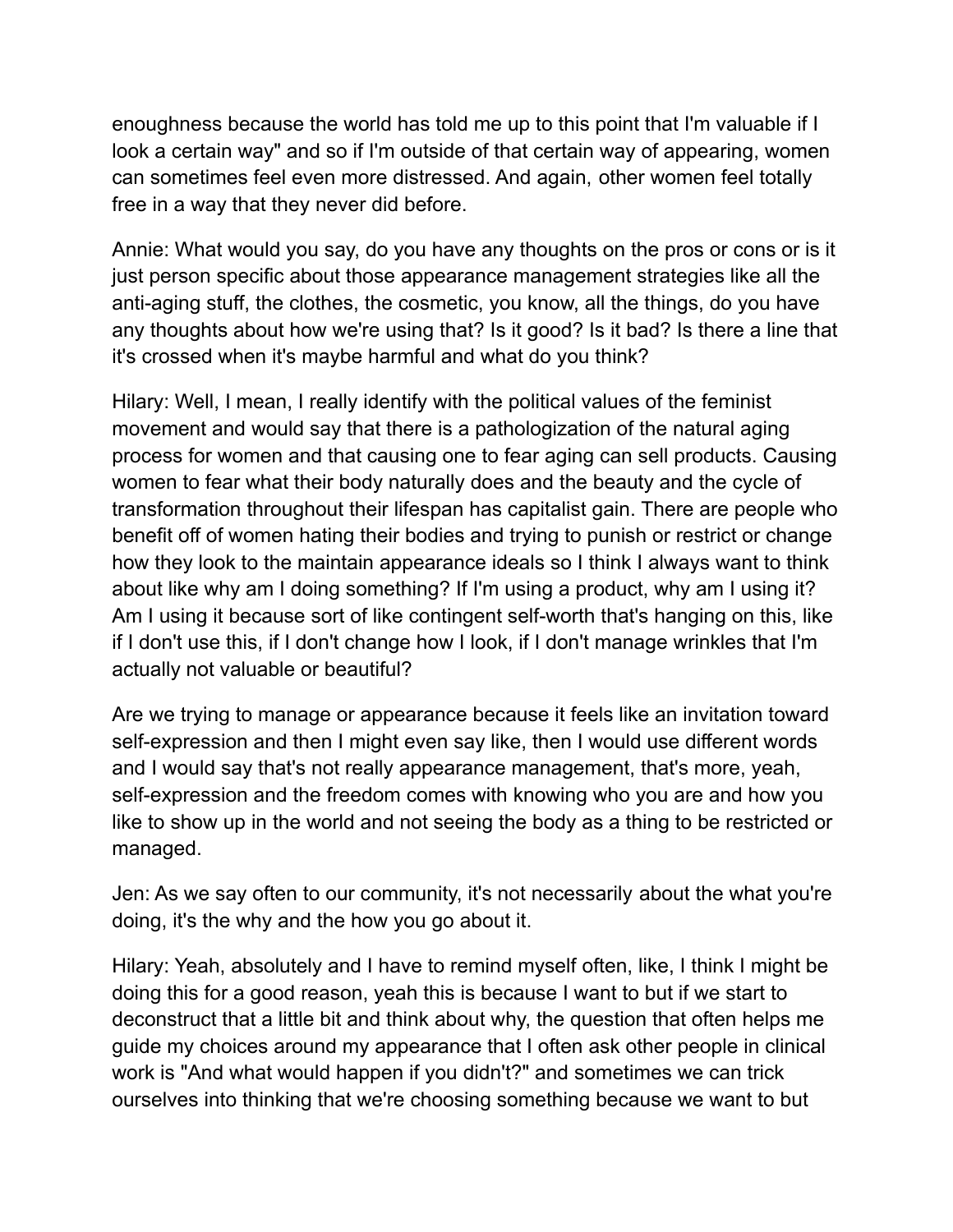enoughness because the world has told me up to this point that I'm valuable if I look a certain way" and so if I'm outside of that certain way of appearing, women can sometimes feel even more distressed. And again, other women feel totally free in a way that they never did before.

Annie: What would you say, do you have any thoughts on the pros or cons or is it just person specific about those appearance management strategies like all the anti-aging stuff, the clothes, the cosmetic, you know, all the things, do you have any thoughts about how we're using that? Is it good? Is it bad? Is there a line that it's crossed when it's maybe harmful and what do you think?

Hilary: Well, I mean, I really identify with the political values of the feminist movement and would say that there is a pathologization of the natural aging process for women and that causing one to fear aging can sell products. Causing women to fear what their body naturally does and the beauty and the cycle of transformation throughout their lifespan has capitalist gain. There are people who benefit off of women hating their bodies and trying to punish or restrict or change how they look to the maintain appearance ideals so I think I always want to think about like why am I doing something? If I'm using a product, why am I using it? Am I using it because sort of like contingent self-worth that's hanging on this, like if I don't use this, if I don't change how I look, if I don't manage wrinkles that I'm actually not valuable or beautiful?

Are we trying to manage or appearance because it feels like an invitation toward self-expression and then I might even say like, then I would use different words and I would say that's not really appearance management, that's more, yeah, self-expression and the freedom comes with knowing who you are and how you like to show up in the world and not seeing the body as a thing to be restricted or managed.

Jen: As we say often to our community, it's not necessarily about the what you're doing, it's the why and the how you go about it.

Hilary: Yeah, absolutely and I have to remind myself often, like, I think I might be doing this for a good reason, yeah this is because I want to but if we start to deconstruct that a little bit and think about why, the question that often helps me guide my choices around my appearance that I often ask other people in clinical work is "And what would happen if you didn't?" and sometimes we can trick ourselves into thinking that we're choosing something because we want to but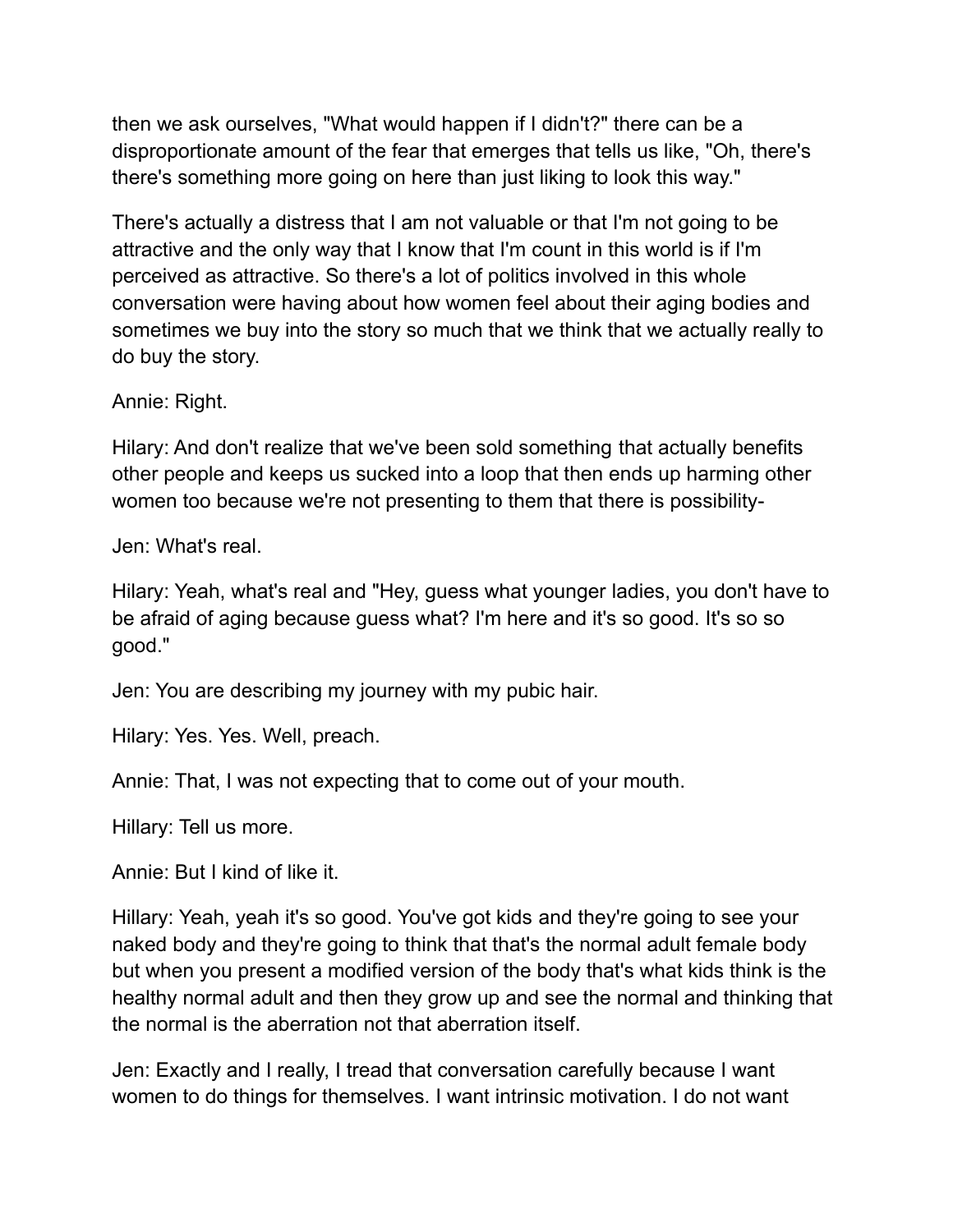then we ask ourselves, "What would happen if I didn't?" there can be a disproportionate amount of the fear that emerges that tells us like, "Oh, there's there's something more going on here than just liking to look this way."

There's actually a distress that I am not valuable or that I'm not going to be attractive and the only way that I know that I'm count in this world is if I'm perceived as attractive. So there's a lot of politics involved in this whole conversation were having about how women feel about their aging bodies and sometimes we buy into the story so much that we think that we actually really to do buy the story.

Annie: Right.

Hilary: And don't realize that we've been sold something that actually benefits other people and keeps us sucked into a loop that then ends up harming other women too because we're not presenting to them that there is possibility-

Jen: What's real.

Hilary: Yeah, what's real and "Hey, guess what younger ladies, you don't have to be afraid of aging because guess what? I'm here and it's so good. It's so so good."

Jen: You are describing my journey with my pubic hair.

Hilary: Yes. Yes. Well, preach.

Annie: That, I was not expecting that to come out of your mouth.

Hillary: Tell us more.

Annie: But I kind of like it.

Hillary: Yeah, yeah it's so good. You've got kids and they're going to see your naked body and they're going to think that that's the normal adult female body but when you present a modified version of the body that's what kids think is the healthy normal adult and then they grow up and see the normal and thinking that the normal is the aberration not that aberration itself.

Jen: Exactly and I really, I tread that conversation carefully because I want women to do things for themselves. I want intrinsic motivation. I do not want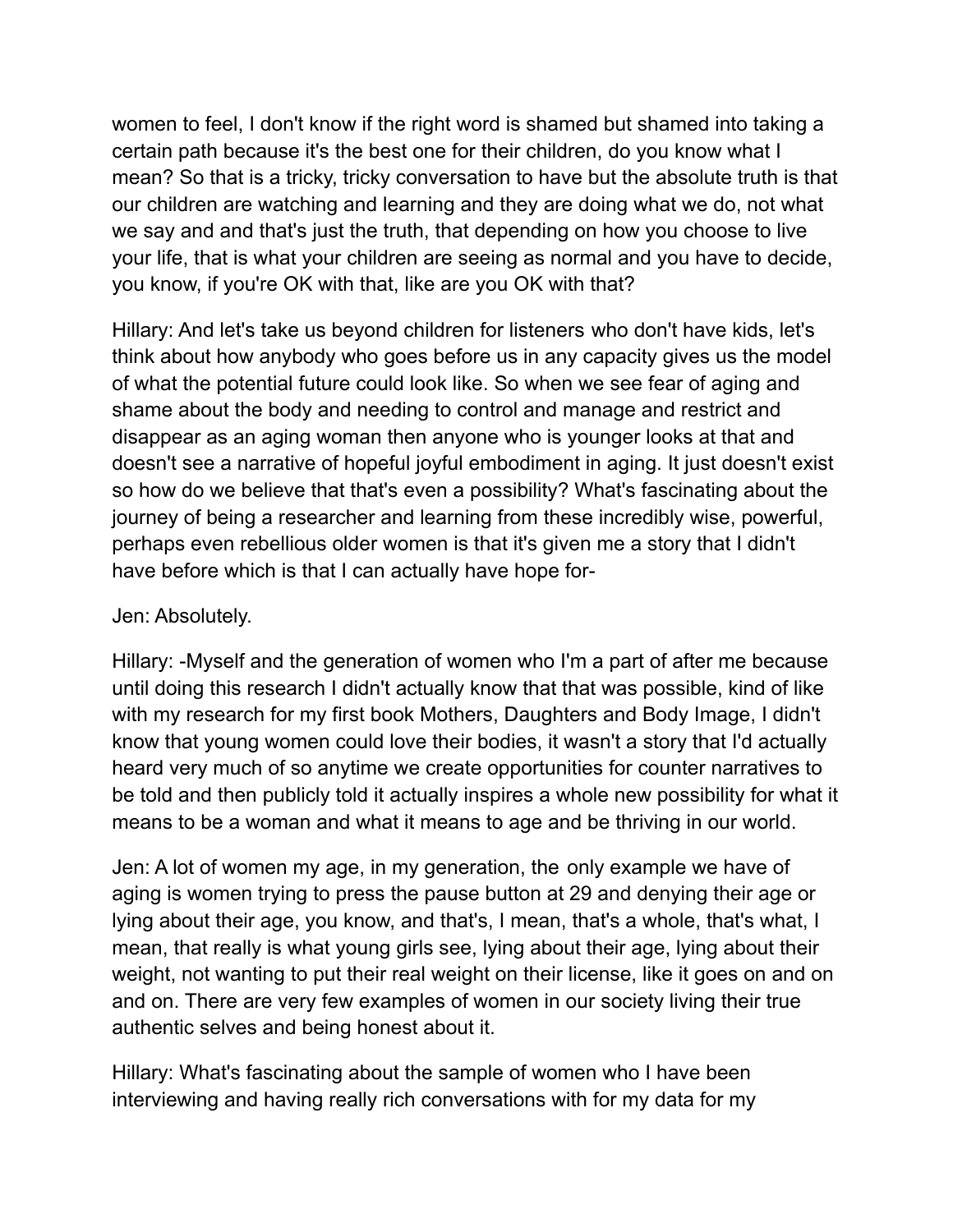women to feel, I don't know if the right word is shamed but shamed into taking a certain path because it's the best one for their children, do you know what I mean? So that is a tricky, tricky conversation to have but the absolute truth is that our children are watching and learning and they are doing what we do, not what we say and and that's just the truth, that depending on how you choose to live your life, that is what your children are seeing as normal and you have to decide, you know, if you're OK with that, like are you OK with that?

Hillary: And let's take us beyond children for listeners who don't have kids, let's think about how anybody who goes before us in any capacity gives us the model of what the potential future could look like. So when we see fear of aging and shame about the body and needing to control and manage and restrict and disappear as an aging woman then anyone who is younger looks at that and doesn't see a narrative of hopeful joyful embodiment in aging. It just doesn't exist so how do we believe that that's even a possibility? What's fascinating about the journey of being a researcher and learning from these incredibly wise, powerful, perhaps even rebellious older women is that it's given me a story that I didn't have before which is that I can actually have hope for-

### Jen: Absolutely.

Hillary: -Myself and the generation of women who I'm a part of after me because until doing this research I didn't actually know that that was possible, kind of like with my research for my first book Mothers, Daughters and Body Image, I didn't know that young women could love their bodies, it wasn't a story that I'd actually heard very much of so anytime we create opportunities for counter narratives to be told and then publicly told it actually inspires a whole new possibility for what it means to be a woman and what it means to age and be thriving in our world.

Jen: A lot of women my age, in my generation, the only example we have of aging is women trying to press the pause button at 29 and denying their age or lying about their age, you know, and that's, I mean, that's a whole, that's what, I mean, that really is what young girls see, lying about their age, lying about their weight, not wanting to put their real weight on their license, like it goes on and on and on. There are very few examples of women in our society living their true authentic selves and being honest about it.

Hillary: What's fascinating about the sample of women who I have been interviewing and having really rich conversations with for my data for my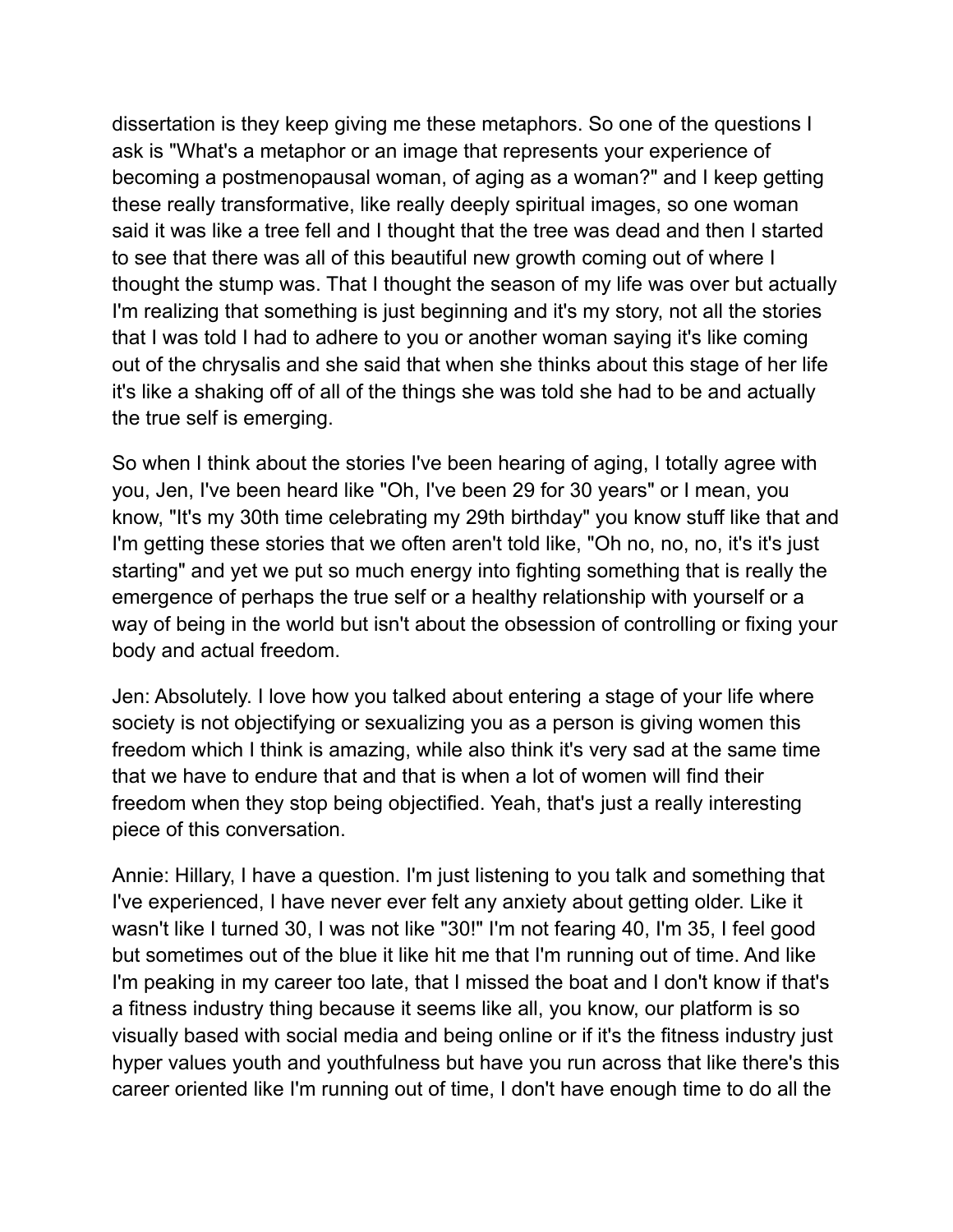dissertation is they keep giving me these metaphors. So one of the questions I ask is "What's a metaphor or an image that represents your experience of becoming a postmenopausal woman, of aging as a woman?" and I keep getting these really transformative, like really deeply spiritual images, so one woman said it was like a tree fell and I thought that the tree was dead and then I started to see that there was all of this beautiful new growth coming out of where I thought the stump was. That I thought the season of my life was over but actually I'm realizing that something is just beginning and it's my story, not all the stories that I was told I had to adhere to you or another woman saying it's like coming out of the chrysalis and she said that when she thinks about this stage of her life it's like a shaking off of all of the things she was told she had to be and actually the true self is emerging.

So when I think about the stories I've been hearing of aging, I totally agree with you, Jen, I've been heard like "Oh, I've been 29 for 30 years" or I mean, you know, "It's my 30th time celebrating my 29th birthday" you know stuff like that and I'm getting these stories that we often aren't told like, "Oh no, no, no, it's it's just starting" and yet we put so much energy into fighting something that is really the emergence of perhaps the true self or a healthy relationship with yourself or a way of being in the world but isn't about the obsession of controlling or fixing your body and actual freedom.

Jen: Absolutely. I love how you talked about entering a stage of your life where society is not objectifying or sexualizing you as a person is giving women this freedom which I think is amazing, while also think it's very sad at the same time that we have to endure that and that is when a lot of women will find their freedom when they stop being objectified. Yeah, that's just a really interesting piece of this conversation.

Annie: Hillary, I have a question. I'm just listening to you talk and something that I've experienced, I have never ever felt any anxiety about getting older. Like it wasn't like I turned 30, I was not like "30!" I'm not fearing 40, I'm 35, I feel good but sometimes out of the blue it like hit me that I'm running out of time. And like I'm peaking in my career too late, that I missed the boat and I don't know if that's a fitness industry thing because it seems like all, you know, our platform is so visually based with social media and being online or if it's the fitness industry just hyper values youth and youthfulness but have you run across that like there's this career oriented like I'm running out of time, I don't have enough time to do all the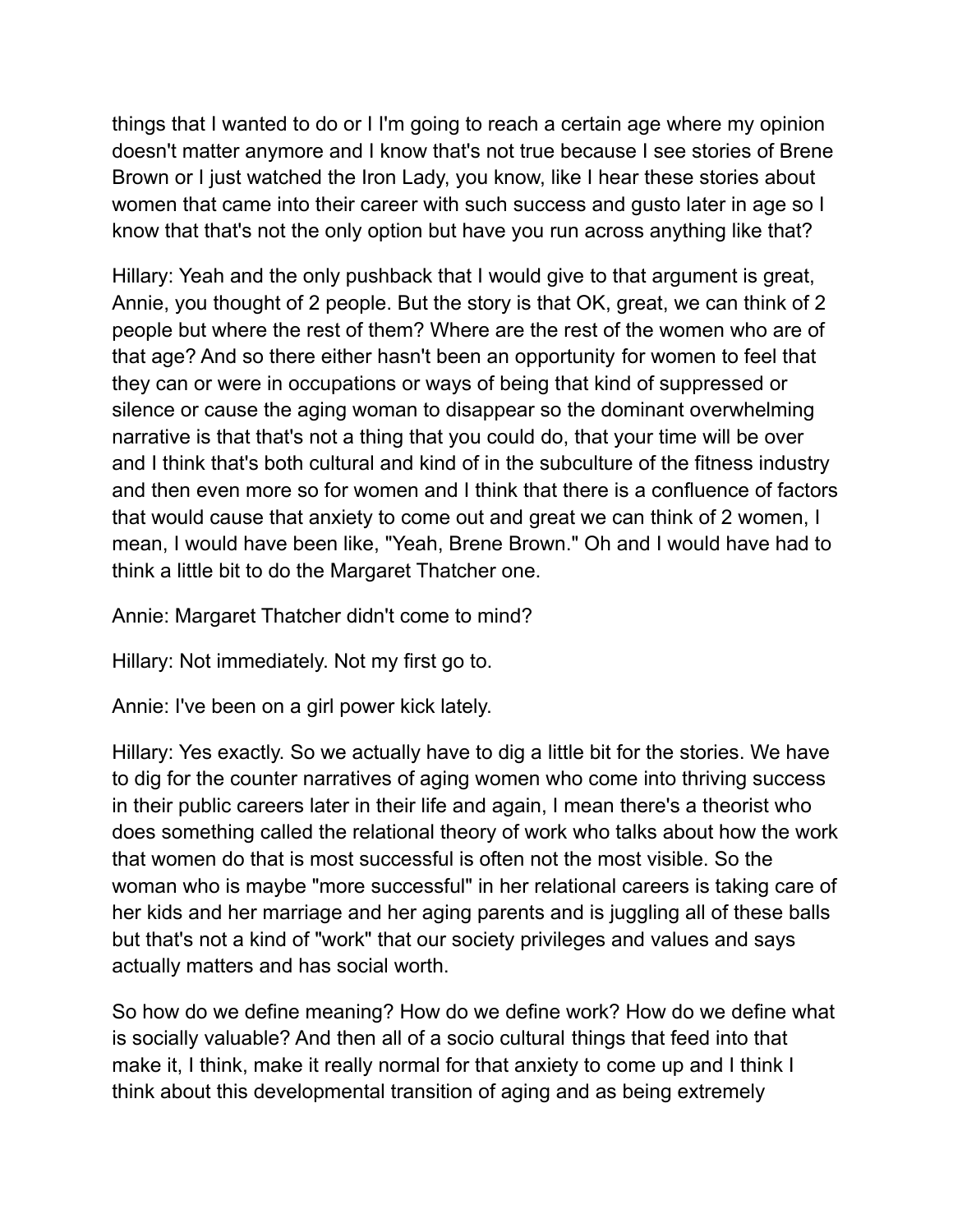things that I wanted to do or I I'm going to reach a certain age where my opinion doesn't matter anymore and I know that's not true because I see stories of Brene Brown or I just watched the Iron Lady, you know, like I hear these stories about women that came into their career with such success and gusto later in age so I know that that's not the only option but have you run across anything like that?

Hillary: Yeah and the only pushback that I would give to that argument is great, Annie, you thought of 2 people. But the story is that OK, great, we can think of 2 people but where the rest of them? Where are the rest of the women who are of that age? And so there either hasn't been an opportunity for women to feel that they can or were in occupations or ways of being that kind of suppressed or silence or cause the aging woman to disappear so the dominant overwhelming narrative is that that's not a thing that you could do, that your time will be over and I think that's both cultural and kind of in the subculture of the fitness industry and then even more so for women and I think that there is a confluence of factors that would cause that anxiety to come out and great we can think of 2 women, I mean, I would have been like, "Yeah, Brene Brown." Oh and I would have had to think a little bit to do the Margaret Thatcher one.

Annie: Margaret Thatcher didn't come to mind?

Hillary: Not immediately. Not my first go to.

Annie: I've been on a girl power kick lately.

Hillary: Yes exactly. So we actually have to dig a little bit for the stories. We have to dig for the counter narratives of aging women who come into thriving success in their public careers later in their life and again, I mean there's a theorist who does something called the relational theory of work who talks about how the work that women do that is most successful is often not the most visible. So the woman who is maybe "more successful" in her relational careers is taking care of her kids and her marriage and her aging parents and is juggling all of these balls but that's not a kind of "work" that our society privileges and values and says actually matters and has social worth.

So how do we define meaning? How do we define work? How do we define what is socially valuable? And then all of a socio cultural things that feed into that make it, I think, make it really normal for that anxiety to come up and I think I think about this developmental transition of aging and as being extremely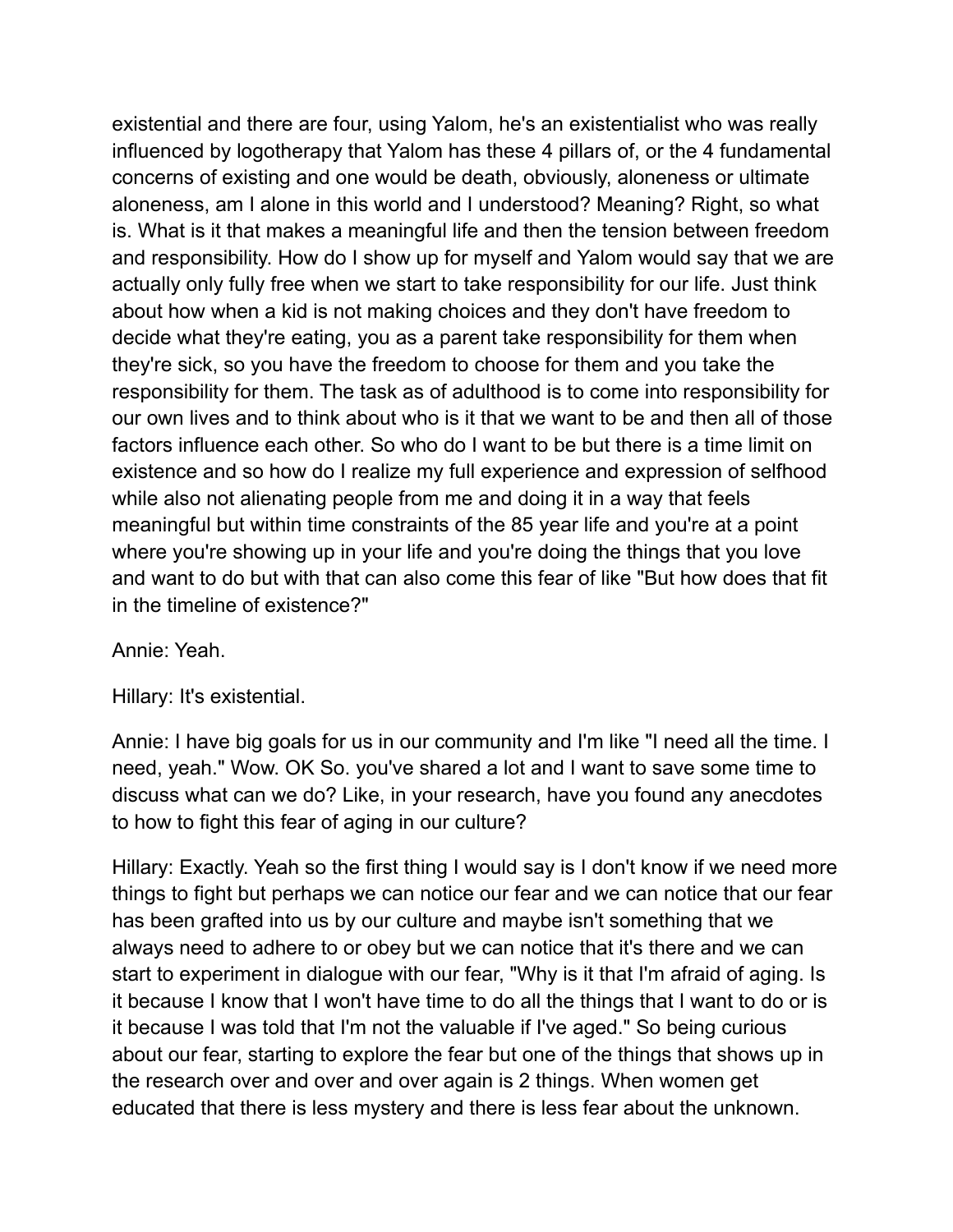existential and there are four, using Yalom, he's an existentialist who was really influenced by logotherapy that Yalom has these 4 pillars of, or the 4 fundamental concerns of existing and one would be death, obviously, aloneness or ultimate aloneness, am I alone in this world and I understood? Meaning? Right, so what is. What is it that makes a meaningful life and then the tension between freedom and responsibility. How do I show up for myself and Yalom would say that we are actually only fully free when we start to take responsibility for our life. Just think about how when a kid is not making choices and they don't have freedom to decide what they're eating, you as a parent take responsibility for them when they're sick, so you have the freedom to choose for them and you take the responsibility for them. The task as of adulthood is to come into responsibility for our own lives and to think about who is it that we want to be and then all of those factors influence each other. So who do I want to be but there is a time limit on existence and so how do I realize my full experience and expression of selfhood while also not alienating people from me and doing it in a way that feels meaningful but within time constraints of the 85 year life and you're at a point where you're showing up in your life and you're doing the things that you love and want to do but with that can also come this fear of like "But how does that fit in the timeline of existence?"

### Annie: Yeah.

Hillary: It's existential.

Annie: I have big goals for us in our community and I'm like "I need all the time. I need, yeah." Wow. OK So. you've shared a lot and I want to save some time to discuss what can we do? Like, in your research, have you found any anecdotes to how to fight this fear of aging in our culture?

Hillary: Exactly. Yeah so the first thing I would say is I don't know if we need more things to fight but perhaps we can notice our fear and we can notice that our fear has been grafted into us by our culture and maybe isn't something that we always need to adhere to or obey but we can notice that it's there and we can start to experiment in dialogue with our fear, "Why is it that I'm afraid of aging. Is it because I know that I won't have time to do all the things that I want to do or is it because I was told that I'm not the valuable if I've aged." So being curious about our fear, starting to explore the fear but one of the things that shows up in the research over and over and over again is 2 things. When women get educated that there is less mystery and there is less fear about the unknown.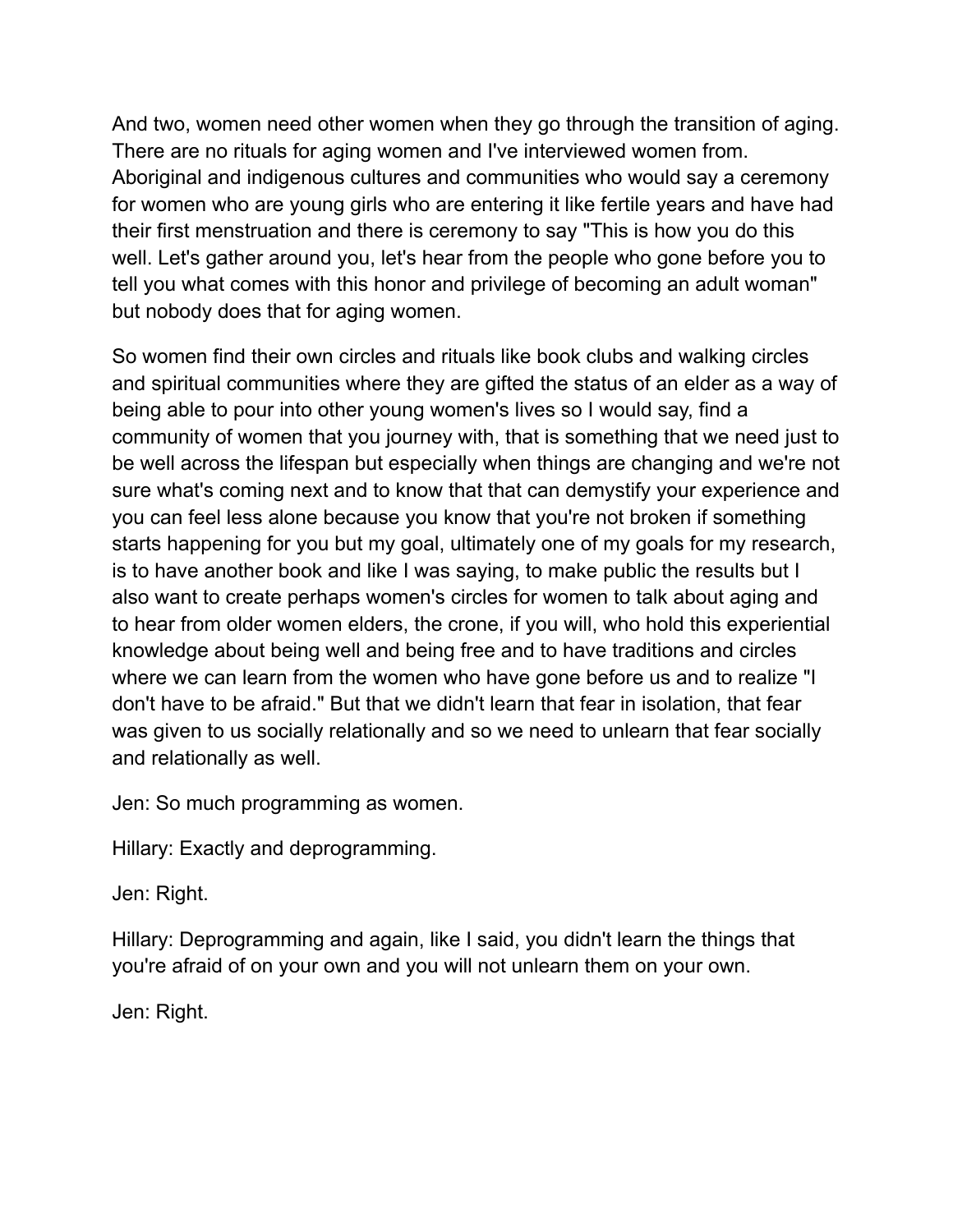And two, women need other women when they go through the transition of aging. There are no rituals for aging women and I've interviewed women from. Aboriginal and indigenous cultures and communities who would say a ceremony for women who are young girls who are entering it like fertile years and have had their first menstruation and there is ceremony to say "This is how you do this well. Let's gather around you, let's hear from the people who gone before you to tell you what comes with this honor and privilege of becoming an adult woman" but nobody does that for aging women.

So women find their own circles and rituals like book clubs and walking circles and spiritual communities where they are gifted the status of an elder as a way of being able to pour into other young women's lives so I would say, find a community of women that you journey with, that is something that we need just to be well across the lifespan but especially when things are changing and we're not sure what's coming next and to know that that can demystify your experience and you can feel less alone because you know that you're not broken if something starts happening for you but my goal, ultimately one of my goals for my research, is to have another book and like I was saying, to make public the results but I also want to create perhaps women's circles for women to talk about aging and to hear from older women elders, the crone, if you will, who hold this experiential knowledge about being well and being free and to have traditions and circles where we can learn from the women who have gone before us and to realize "I don't have to be afraid." But that we didn't learn that fear in isolation, that fear was given to us socially relationally and so we need to unlearn that fear socially and relationally as well.

Jen: So much programming as women.

Hillary: Exactly and deprogramming.

Jen: Right.

Hillary: Deprogramming and again, like I said, you didn't learn the things that you're afraid of on your own and you will not unlearn them on your own.

Jen: Right.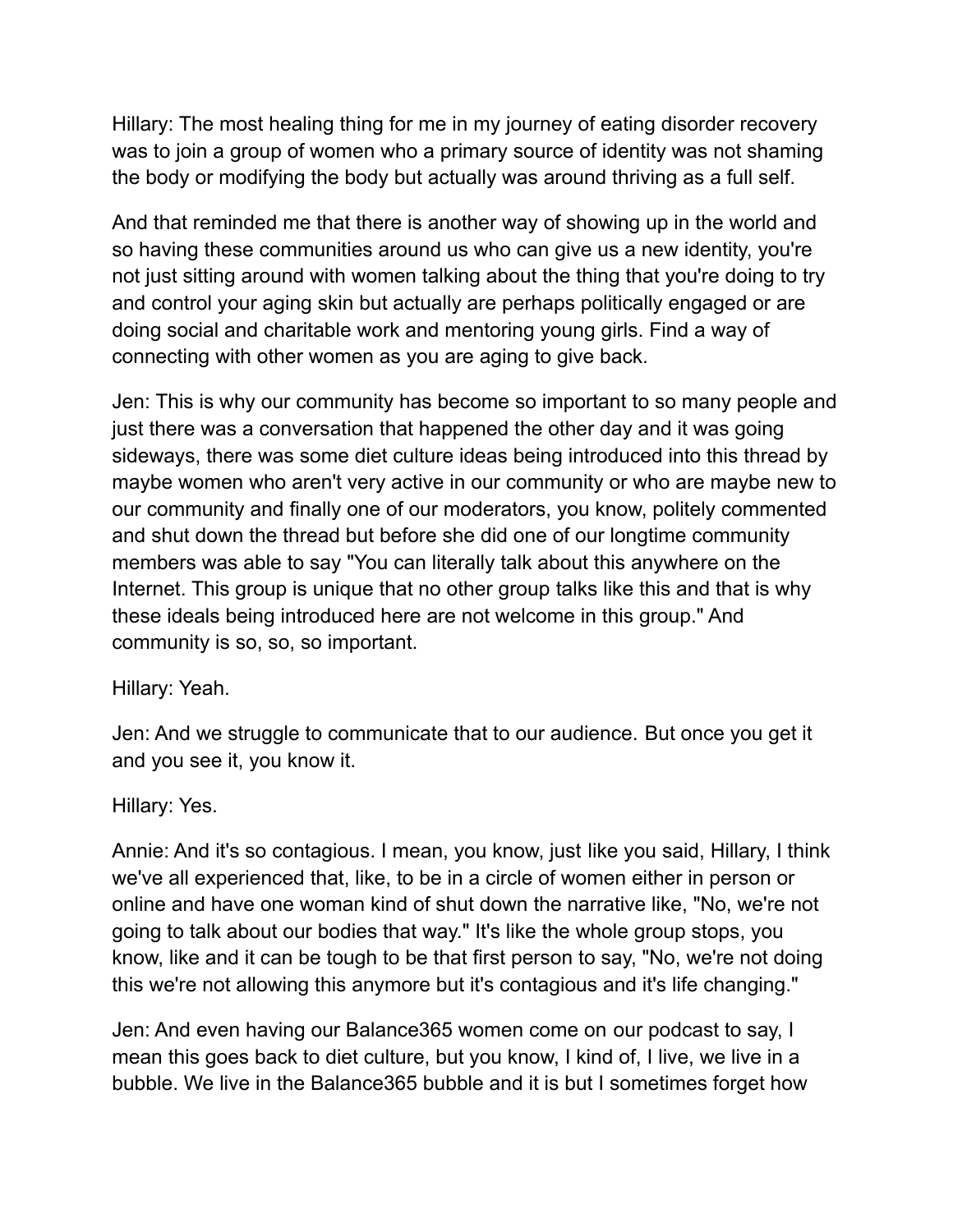Hillary: The most healing thing for me in my journey of eating disorder recovery was to join a group of women who a primary source of identity was not shaming the body or modifying the body but actually was around thriving as a full self.

And that reminded me that there is another way of showing up in the world and so having these communities around us who can give us a new identity, you're not just sitting around with women talking about the thing that you're doing to try and control your aging skin but actually are perhaps politically engaged or are doing social and charitable work and mentoring young girls. Find a way of connecting with other women as you are aging to give back.

Jen: This is why our community has become so important to so many people and just there was a conversation that happened the other day and it was going sideways, there was some diet culture ideas being introduced into this thread by maybe women who aren't very active in our community or who are maybe new to our community and finally one of our moderators, you know, politely commented and shut down the thread but before she did one of our longtime community members was able to say "You can literally talk about this anywhere on the Internet. This group is unique that no other group talks like this and that is why these ideals being introduced here are not welcome in this group." And community is so, so, so important.

Hillary: Yeah.

Jen: And we struggle to communicate that to our audience. But once you get it and you see it, you know it.

Hillary: Yes.

Annie: And it's so contagious. I mean, you know, just like you said, Hillary, I think we've all experienced that, like, to be in a circle of women either in person or online and have one woman kind of shut down the narrative like, "No, we're not going to talk about our bodies that way." It's like the whole group stops, you know, like and it can be tough to be that first person to say, "No, we're not doing this we're not allowing this anymore but it's contagious and it's life changing."

Jen: And even having our Balance365 women come on our podcast to say, I mean this goes back to diet culture, but you know, I kind of, I live, we live in a bubble. We live in the Balance365 bubble and it is but I sometimes forget how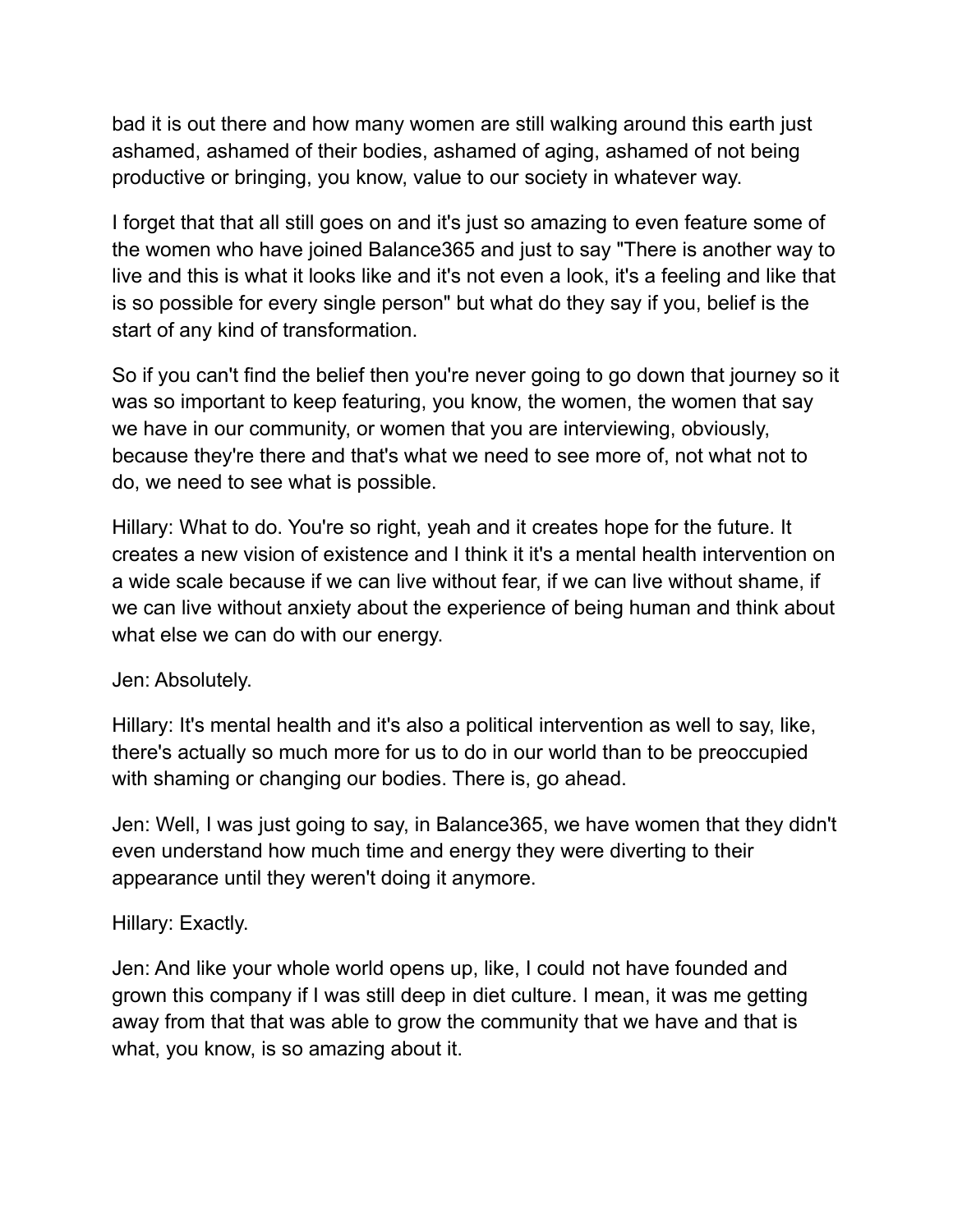bad it is out there and how many women are still walking around this earth just ashamed, ashamed of their bodies, ashamed of aging, ashamed of not being productive or bringing, you know, value to our society in whatever way.

I forget that that all still goes on and it's just so amazing to even feature some of the women who have joined Balance365 and just to say "There is another way to live and this is what it looks like and it's not even a look, it's a feeling and like that is so possible for every single person" but what do they say if you, belief is the start of any kind of transformation.

So if you can't find the belief then you're never going to go down that journey so it was so important to keep featuring, you know, the women, the women that say we have in our community, or women that you are interviewing, obviously, because they're there and that's what we need to see more of, not what not to do, we need to see what is possible.

Hillary: What to do. You're so right, yeah and it creates hope for the future. It creates a new vision of existence and I think it it's a mental health intervention on a wide scale because if we can live without fear, if we can live without shame, if we can live without anxiety about the experience of being human and think about what else we can do with our energy.

### Jen: Absolutely.

Hillary: It's mental health and it's also a political intervention as well to say, like, there's actually so much more for us to do in our world than to be preoccupied with shaming or changing our bodies. There is, go ahead.

Jen: Well, I was just going to say, in Balance365, we have women that they didn't even understand how much time and energy they were diverting to their appearance until they weren't doing it anymore.

### Hillary: Exactly.

Jen: And like your whole world opens up, like, I could not have founded and grown this company if I was still deep in diet culture. I mean, it was me getting away from that that was able to grow the community that we have and that is what, you know, is so amazing about it.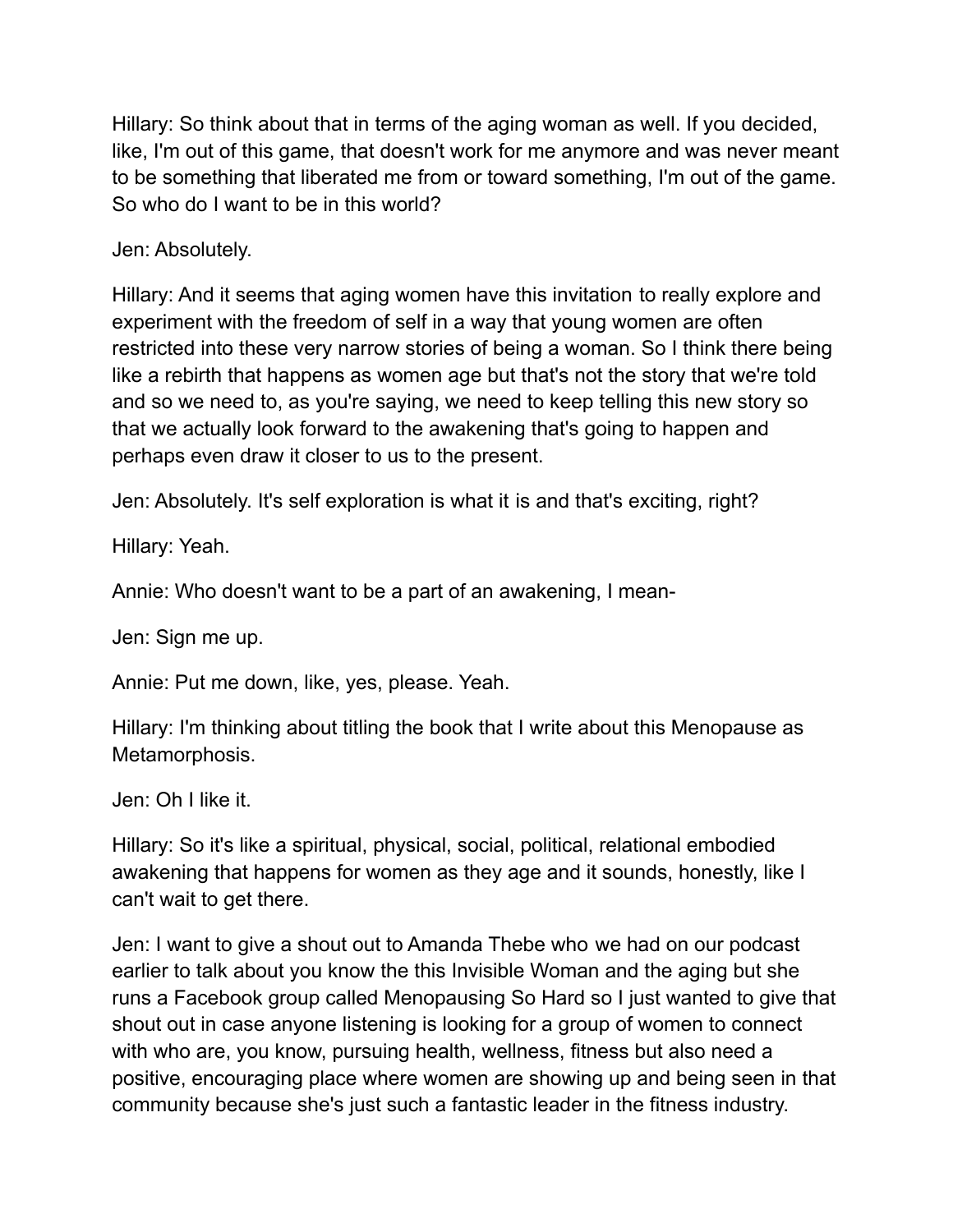Hillary: So think about that in terms of the aging woman as well. If you decided, like, I'm out of this game, that doesn't work for me anymore and was never meant to be something that liberated me from or toward something, I'm out of the game. So who do I want to be in this world?

Jen: Absolutely.

Hillary: And it seems that aging women have this invitation to really explore and experiment with the freedom of self in a way that young women are often restricted into these very narrow stories of being a woman. So I think there being like a rebirth that happens as women age but that's not the story that we're told and so we need to, as you're saying, we need to keep telling this new story so that we actually look forward to the awakening that's going to happen and perhaps even draw it closer to us to the present.

Jen: Absolutely. It's self exploration is what it is and that's exciting, right?

Hillary: Yeah.

Annie: Who doesn't want to be a part of an awakening, I mean-

Jen: Sign me up.

Annie: Put me down, like, yes, please. Yeah.

Hillary: I'm thinking about titling the book that I write about this Menopause as Metamorphosis.

Jen: Oh I like it.

Hillary: So it's like a spiritual, physical, social, political, relational embodied awakening that happens for women as they age and it sounds, honestly, like I can't wait to get there.

Jen: I want to give a shout out to Amanda Thebe who we had on our podcast earlier to talk about you know the this Invisible Woman and the aging but she runs a Facebook group called Menopausing So Hard so I just wanted to give that shout out in case anyone listening is looking for a group of women to connect with who are, you know, pursuing health, wellness, fitness but also need a positive, encouraging place where women are showing up and being seen in that community because she's just such a fantastic leader in the fitness industry.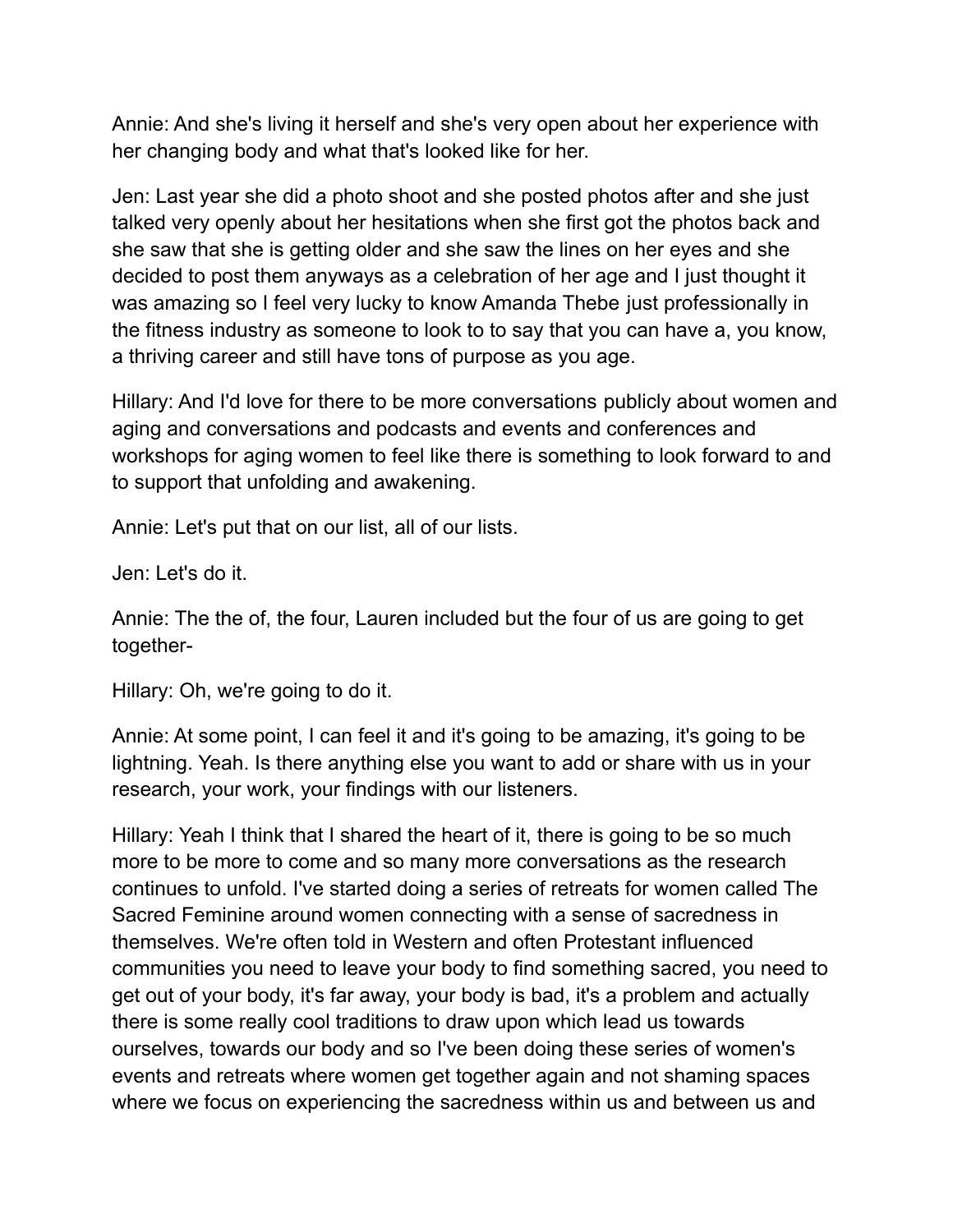Annie: And she's living it herself and she's very open about her experience with her changing body and what that's looked like for her.

Jen: Last year she did a photo shoot and she posted photos after and she just talked very openly about her hesitations when she first got the photos back and she saw that she is getting older and she saw the lines on her eyes and she decided to post them anyways as a celebration of her age and I just thought it was amazing so I feel very lucky to know Amanda Thebe just professionally in the fitness industry as someone to look to to say that you can have a, you know, a thriving career and still have tons of purpose as you age.

Hillary: And I'd love for there to be more conversations publicly about women and aging and conversations and podcasts and events and conferences and workshops for aging women to feel like there is something to look forward to and to support that unfolding and awakening.

Annie: Let's put that on our list, all of our lists.

Jen: Let's do it.

Annie: The the of, the four, Lauren included but the four of us are going to get together-

Hillary: Oh, we're going to do it.

Annie: At some point, I can feel it and it's going to be amazing, it's going to be lightning. Yeah. Is there anything else you want to add or share with us in your research, your work, your findings with our listeners.

Hillary: Yeah I think that I shared the heart of it, there is going to be so much more to be more to come and so many more conversations as the research continues to unfold. I've started doing a series of retreats for women called The Sacred Feminine around women connecting with a sense of sacredness in themselves. We're often told in Western and often Protestant influenced communities you need to leave your body to find something sacred, you need to get out of your body, it's far away, your body is bad, it's a problem and actually there is some really cool traditions to draw upon which lead us towards ourselves, towards our body and so I've been doing these series of women's events and retreats where women get together again and not shaming spaces where we focus on experiencing the sacredness within us and between us and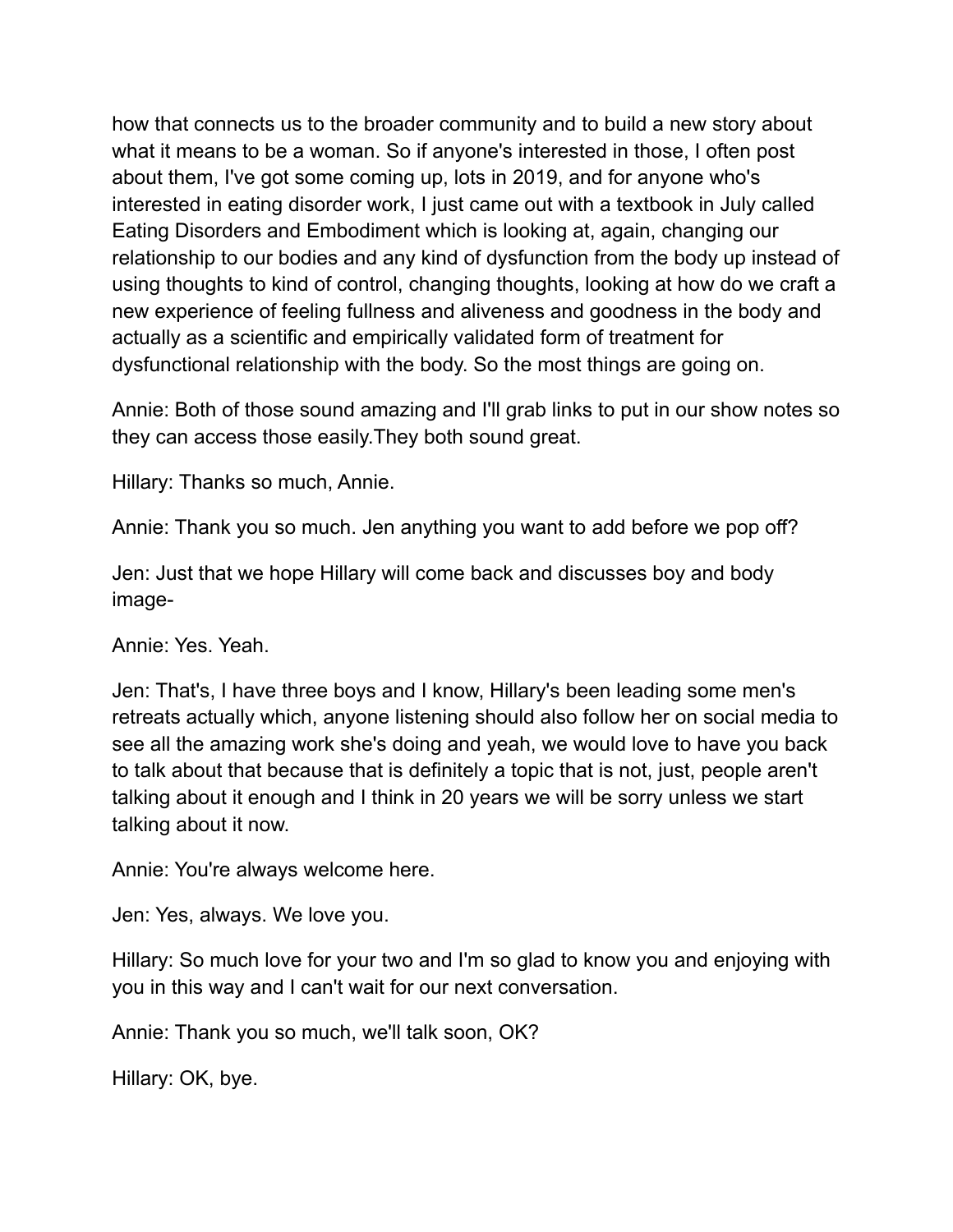how that connects us to the broader community and to build a new story about what it means to be a woman. So if anyone's interested in those, I often post about them, I've got some coming up, lots in 2019, and for anyone who's interested in eating disorder work, I just came out with a textbook in July called Eating Disorders and Embodiment which is looking at, again, changing our relationship to our bodies and any kind of dysfunction from the body up instead of using thoughts to kind of control, changing thoughts, looking at how do we craft a new experience of feeling fullness and aliveness and goodness in the body and actually as a scientific and empirically validated form of treatment for dysfunctional relationship with the body. So the most things are going on.

Annie: Both of those sound amazing and I'll grab links to put in our show notes so they can access those easily.They both sound great.

Hillary: Thanks so much, Annie.

Annie: Thank you so much. Jen anything you want to add before we pop off?

Jen: Just that we hope Hillary will come back and discusses boy and body image-

Annie: Yes. Yeah.

Jen: That's, I have three boys and I know, Hillary's been leading some men's retreats actually which, anyone listening should also follow her on social media to see all the amazing work she's doing and yeah, we would love to have you back to talk about that because that is definitely a topic that is not, just, people aren't talking about it enough and I think in 20 years we will be sorry unless we start talking about it now.

Annie: You're always welcome here.

Jen: Yes, always. We love you.

Hillary: So much love for your two and I'm so glad to know you and enjoying with you in this way and I can't wait for our next conversation.

Annie: Thank you so much, we'll talk soon, OK?

Hillary: OK, bye.